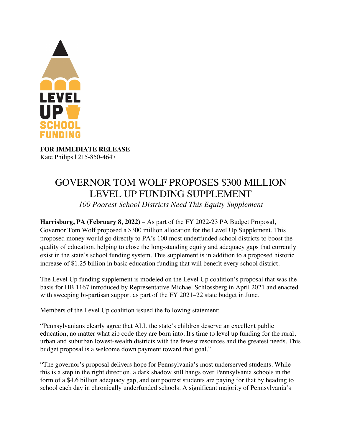

**FOR IMMEDIATE RELEASE** Kate Philips | 215-850-4647

## GOVERNOR TOM WOLF PROPOSES \$300 MILLION LEVEL UP FUNDING SUPPLEMENT *100 Poorest School Districts Need This Equity Supplement*

**Harrisburg, PA (February 8, 2022)** – As part of the FY 2022-23 PA Budget Proposal, Governor Tom Wolf proposed a \$300 million allocation for the Level Up Supplement. This proposed money would go directly to PA's 100 most underfunded school districts to boost the quality of education, helping to close the long-standing equity and adequacy gaps that currently exist in the state's school funding system. This supplement is in addition to a proposed historic increase of \$1.25 billion in basic education funding that will benefit every school district.

The Level Up funding supplement is modeled on the Level Up coalition's proposal that was the basis for HB 1167 introduced by Representative Michael Schlossberg in April 2021 and enacted with sweeping bi-partisan support as part of the FY 2021–22 state budget in June.

Members of the Level Up coalition issued the following statement:

"Pennsylvanians clearly agree that ALL the state's children deserve an excellent public education, no matter what zip code they are born into. It's time to level up funding for the rural, urban and suburban lowest-wealth districts with the fewest resources and the greatest needs. This budget proposal is a welcome down payment toward that goal."

"The governor's proposal delivers hope for Pennsylvania's most underserved students. While this is a step in the right direction, a dark shadow still hangs over Pennsylvania schools in the form of a \$4.6 billion adequacy gap, and our poorest students are paying for that by heading to school each day in chronically underfunded schools. A significant majority of Pennsylvania's